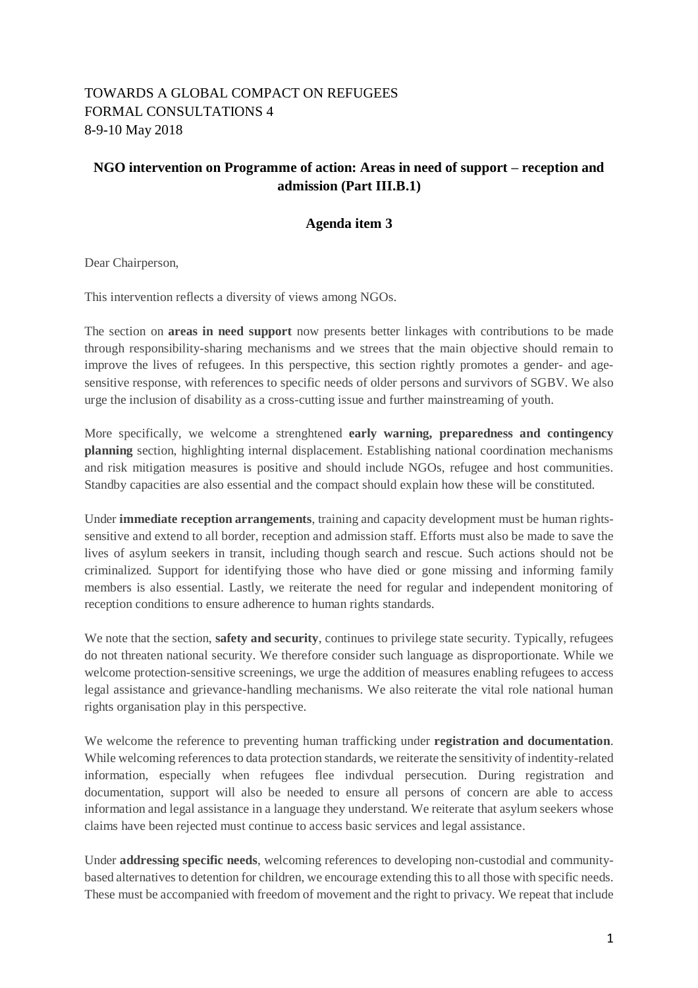## TOWARDS A GLOBAL COMPACT ON REFUGEES FORMAL CONSULTATIONS 4 8-9-10 May 2018

## **NGO intervention on Programme of action: Areas in need of support – reception and admission (Part III.B.1)**

## **Agenda item 3**

Dear Chairperson,

This intervention reflects a diversity of views among NGOs.

The section on **areas in need support** now presents better linkages with contributions to be made through responsibility-sharing mechanisms and we strees that the main objective should remain to improve the lives of refugees. In this perspective, this section rightly promotes a gender- and agesensitive response, with references to specific needs of older persons and survivors of SGBV. We also urge the inclusion of disability as a cross-cutting issue and further mainstreaming of youth.

More specifically, we welcome a strenghtened **early warning, preparedness and contingency planning** section, highlighting internal displacement. Establishing national coordination mechanisms and risk mitigation measures is positive and should include NGOs, refugee and host communities. Standby capacities are also essential and the compact should explain how these will be constituted.

Under **immediate reception arrangements**, training and capacity development must be human rightssensitive and extend to all border, reception and admission staff. Efforts must also be made to save the lives of asylum seekers in transit, including though search and rescue. Such actions should not be criminalized. Support for identifying those who have died or gone missing and informing family members is also essential. Lastly, we reiterate the need for regular and independent monitoring of reception conditions to ensure adherence to human rights standards.

We note that the section, **safety and security**, continues to privilege state security. Typically, refugees do not threaten national security. We therefore consider such language as disproportionate. While we welcome protection-sensitive screenings, we urge the addition of measures enabling refugees to access legal assistance and grievance-handling mechanisms. We also reiterate the vital role national human rights organisation play in this perspective.

We welcome the reference to preventing human trafficking under **registration and documentation**. While welcoming references to data protection standards, we reiterate the sensitivity of indentity-related information, especially when refugees flee indivdual persecution. During registration and documentation, support will also be needed to ensure all persons of concern are able to access information and legal assistance in a language they understand. We reiterate that asylum seekers whose claims have been rejected must continue to access basic services and legal assistance.

Under **addressing specific needs**, welcoming references to developing non-custodial and communitybased alternatives to detention for children, we encourage extending this to all those with specific needs. These must be accompanied with freedom of movement and the right to privacy. We repeat that include